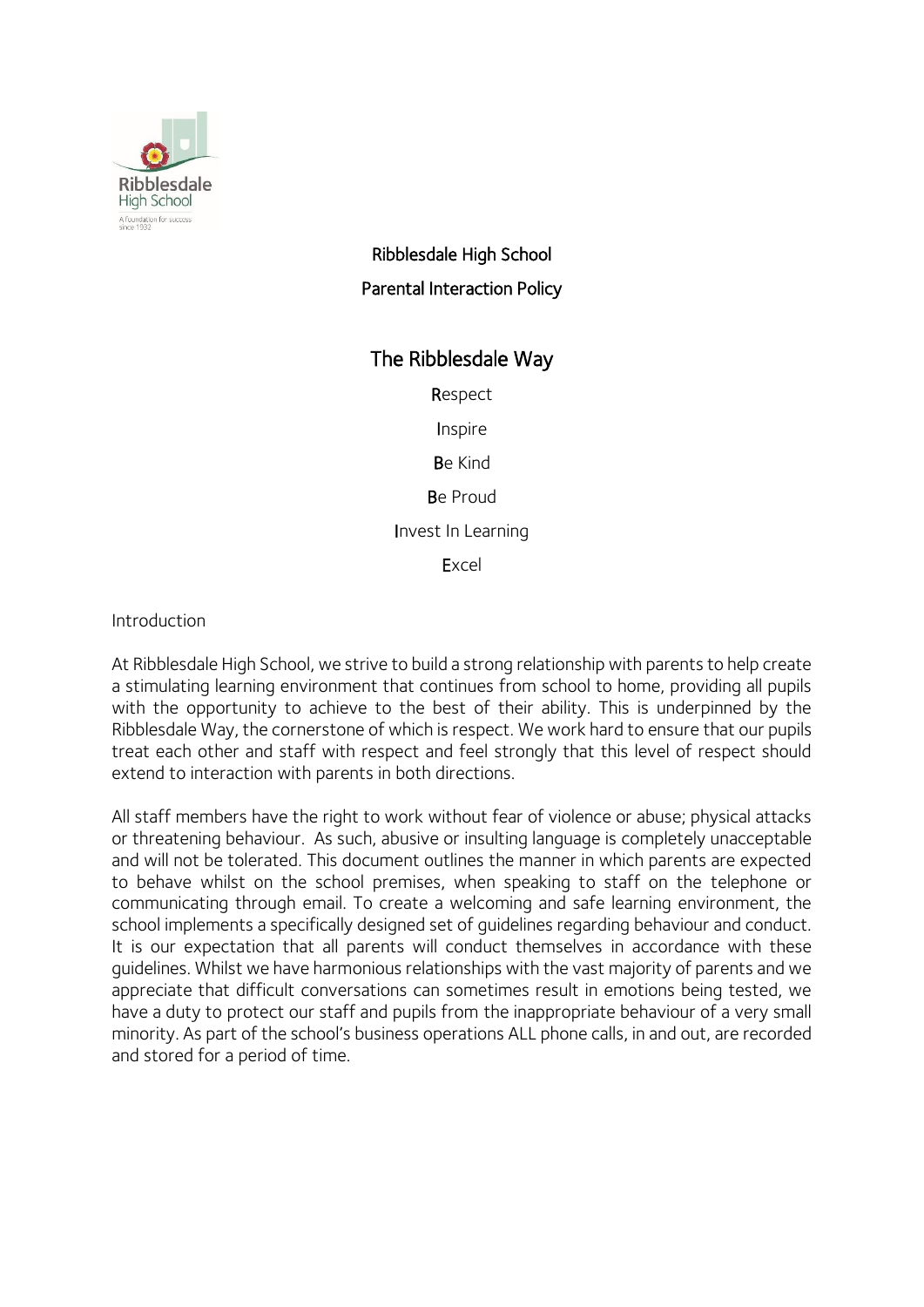

# Ribblesdale High School Parental Interaction Policy

## The Ribblesdale Way

Respect

Inspire

Be Kind

Be Proud

Invest In Learning

Excel

Introduction

At Ribblesdale High School, we strive to build a strong relationship with parents to help create a stimulating learning environment that continues from school to home, providing all pupils with the opportunity to achieve to the best of their ability. This is underpinned by the Ribblesdale Way, the cornerstone of which is respect. We work hard to ensure that our pupils treat each other and staff with respect and feel strongly that this level of respect should extend to interaction with parents in both directions.

All staff members have the right to work without fear of violence or abuse; physical attacks or threatening behaviour. As such, abusive or insulting language is completely unacceptable and will not be tolerated. This document outlines the manner in which parents are expected to behave whilst on the school premises, when speaking to staff on the telephone or communicating through email. To create a welcoming and safe learning environment, the school implements a specifically designed set of guidelines regarding behaviour and conduct. It is our expectation that all parents will conduct themselves in accordance with these guidelines. Whilst we have harmonious relationships with the vast majority of parents and we appreciate that difficult conversations can sometimes result in emotions being tested, we have a duty to protect our staff and pupils from the inappropriate behaviour of a very small minority. As part of the school's business operations ALL phone calls, in and out, are recorded and stored for a period of time.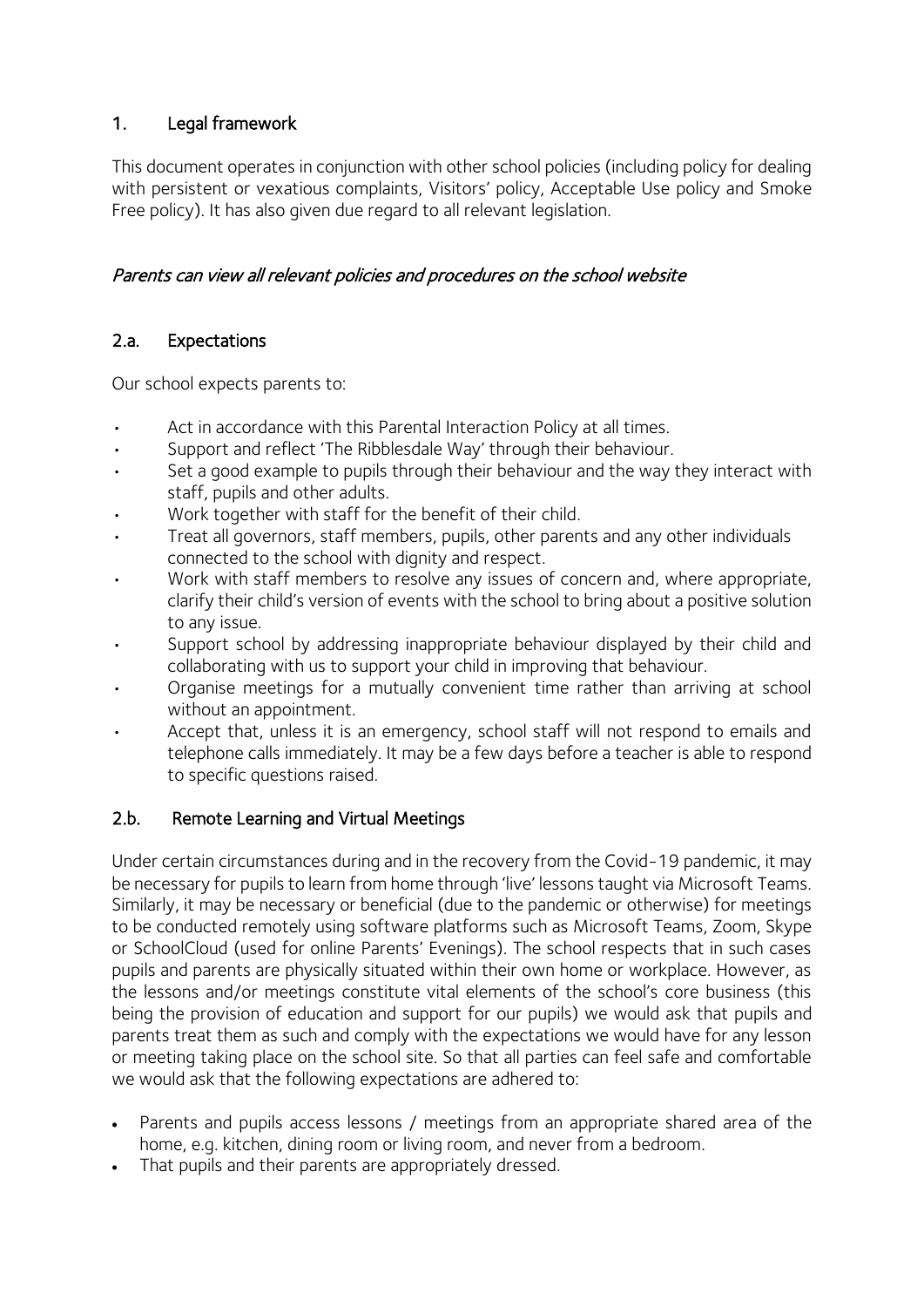## 1. Legal framework

This document operates in conjunction with other school policies (including policy for dealing with persistent or vexatious complaints, Visitors' policy, Acceptable Use policy and Smoke Free policy). It has also given due regard to all relevant legislation.

### Parents can view all relevant policies and procedures on the school website

### 2.a. Expectations

Our school expects parents to:

- Act in accordance with this Parental Interaction Policy at all times.
- Support and reflect 'The Ribblesdale Way' through their behaviour.
- Set a good example to pupils through their behaviour and the way they interact with staff, pupils and other adults.
- Work together with staff for the benefit of their child.
- Treat all governors, staff members, pupils, other parents and any other individuals connected to the school with dignity and respect.
- Work with staff members to resolve any issues of concern and, where appropriate, clarify their child's version of events with the school to bring about a positive solution to any issue.
- Support school by addressing inappropriate behaviour displayed by their child and collaborating with us to support your child in improving that behaviour.
- Organise meetings for a mutually convenient time rather than arriving at school without an appointment.
- Accept that, unless it is an emergency, school staff will not respond to emails and telephone calls immediately. It may be a few days before a teacher is able to respond to specific questions raised.

#### 2.b. Remote Learning and Virtual Meetings

Under certain circumstances during and in the recovery from the Covid-19 pandemic, it may be necessary for pupils to learn from home through 'live' lessons taught via Microsoft Teams. Similarly, it may be necessary or beneficial (due to the pandemic or otherwise) for meetings to be conducted remotely using software platforms such as Microsoft Teams, Zoom, Skype or SchoolCloud (used for online Parents' Evenings). The school respects that in such cases pupils and parents are physically situated within their own home or workplace. However, as the lessons and/or meetings constitute vital elements of the school's core business (this being the provision of education and support for our pupils) we would ask that pupils and parents treat them as such and comply with the expectations we would have for any lesson or meeting taking place on the school site. So that all parties can feel safe and comfortable we would ask that the following expectations are adhered to:

- Parents and pupils access lessons / meetings from an appropriate shared area of the home, e.g. kitchen, dining room or living room, and never from a bedroom.
- That pupils and their parents are appropriately dressed.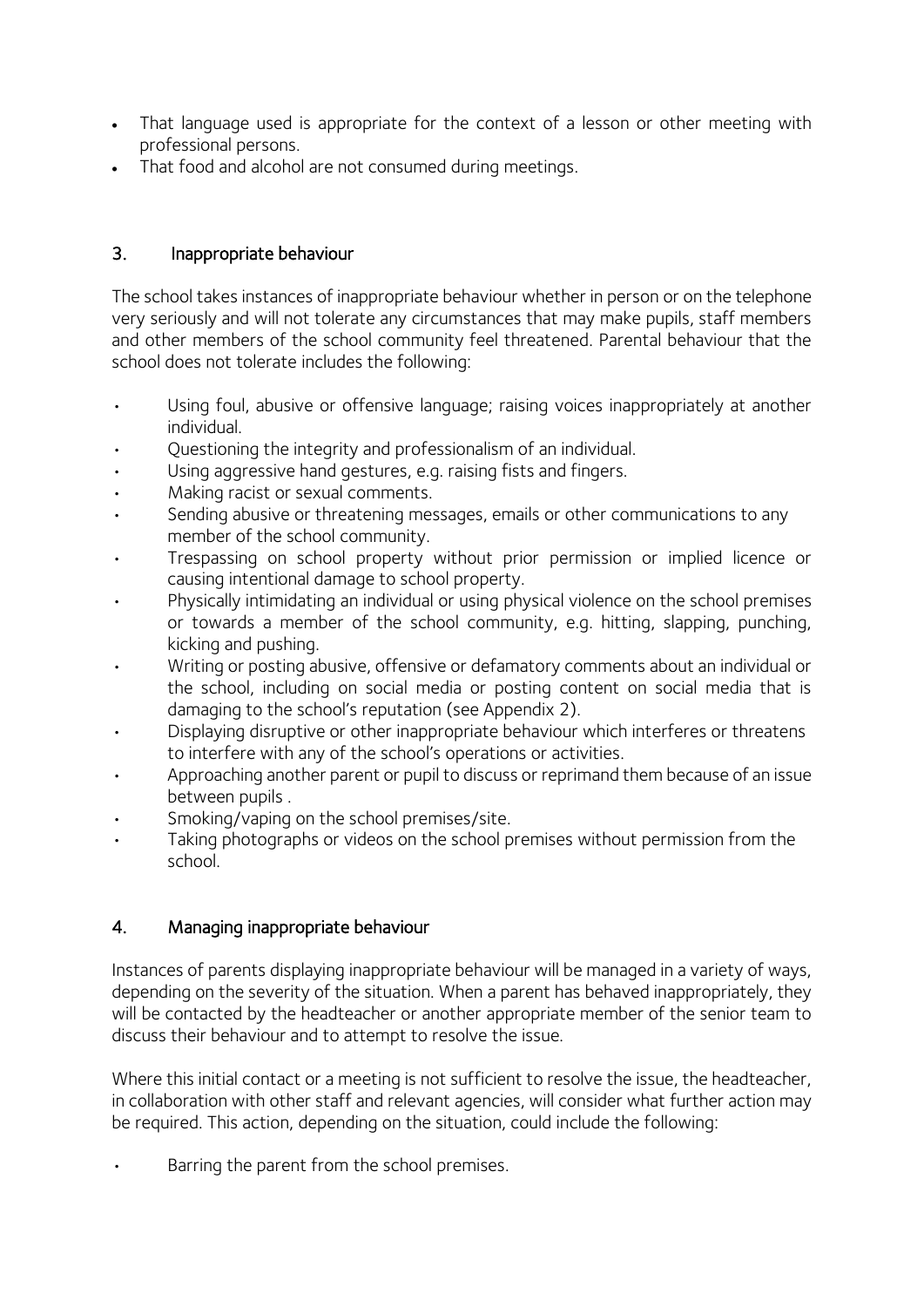- That language used is appropriate for the context of a lesson or other meeting with professional persons.
- That food and alcohol are not consumed during meetings.

## 3. Inappropriate behaviour

The school takes instances of inappropriate behaviour whether in person or on the telephone very seriously and will not tolerate any circumstances that may make pupils, staff members and other members of the school community feel threatened. Parental behaviour that the school does not tolerate includes the following:

- Using foul, abusive or offensive language; raising voices inappropriately at another individual.
- Questioning the integrity and professionalism of an individual.
- Using aggressive hand gestures, e.g. raising fists and fingers.
- Making racist or sexual comments.
- Sending abusive or threatening messages, emails or other communications to any member of the school community.
- Trespassing on school property without prior permission or implied licence or causing intentional damage to school property.
- Physically intimidating an individual or using physical violence on the school premises or towards a member of the school community, e.g. hitting, slapping, punching, kicking and pushing.
- Writing or posting abusive, offensive or defamatory comments about an individual or the school, including on social media or posting content on social media that is damaging to the school's reputation (see Appendix 2).
- Displaying disruptive or other inappropriate behaviour which interferes or threatens to interfere with any of the school's operations or activities.
- Approaching another parent or pupil to discuss or reprimand them because of an issue between pupils .
- Smoking/vaping on the school premises/site.
- Taking photographs or videos on the school premises without permission from the school.

## 4. Managing inappropriate behaviour

Instances of parents displaying inappropriate behaviour will be managed in a variety of ways, depending on the severity of the situation. When a parent has behaved inappropriately, they will be contacted by the headteacher or another appropriate member of the senior team to discuss their behaviour and to attempt to resolve the issue.

Where this initial contact or a meeting is not sufficient to resolve the issue, the headteacher, in collaboration with other staff and relevant agencies, will consider what further action may be required. This action, depending on the situation, could include the following:

Barring the parent from the school premises.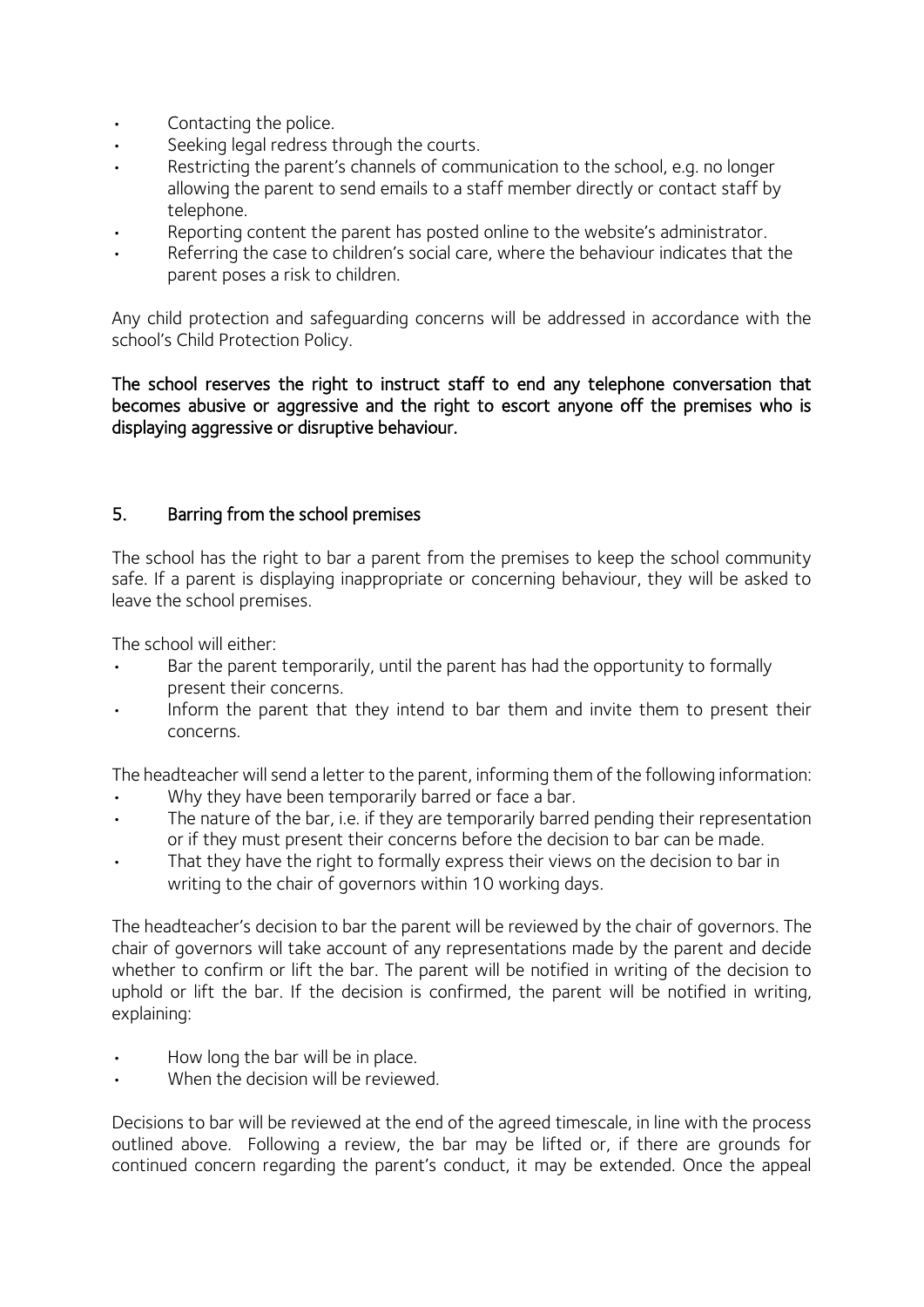- Contacting the police.
- Seeking legal redress through the courts.
- Restricting the parent's channels of communication to the school, e.g. no longer allowing the parent to send emails to a staff member directly or contact staff by telephone.
- Reporting content the parent has posted online to the website's administrator.
- Referring the case to children's social care, where the behaviour indicates that the parent poses a risk to children.

Any child protection and safeguarding concerns will be addressed in accordance with the school's Child Protection Policy.

The school reserves the right to instruct staff to end any telephone conversation that becomes abusive or aggressive and the right to escort anyone off the premises who is displaying aggressive or disruptive behaviour.

#### 5. Barring from the school premises

The school has the right to bar a parent from the premises to keep the school community safe. If a parent is displaying inappropriate or concerning behaviour, they will be asked to leave the school premises.

The school will either:

- Bar the parent temporarily, until the parent has had the opportunity to formally present their concerns.
- Inform the parent that they intend to bar them and invite them to present their concerns.

The headteacher will send a letter to the parent, informing them of the following information:

- Why they have been temporarily barred or face a bar.
- The nature of the bar, i.e. if they are temporarily barred pending their representation or if they must present their concerns before the decision to bar can be made.
- That they have the right to formally express their views on the decision to bar in writing to the chair of governors within 10 working days.

The headteacher's decision to bar the parent will be reviewed by the chair of governors. The chair of governors will take account of any representations made by the parent and decide whether to confirm or lift the bar. The parent will be notified in writing of the decision to uphold or lift the bar. If the decision is confirmed, the parent will be notified in writing, explaining:

- How long the bar will be in place.
- When the decision will be reviewed.

Decisions to bar will be reviewed at the end of the agreed timescale, in line with the process outlined above. Following a review, the bar may be lifted or, if there are grounds for continued concern regarding the parent's conduct, it may be extended. Once the appeal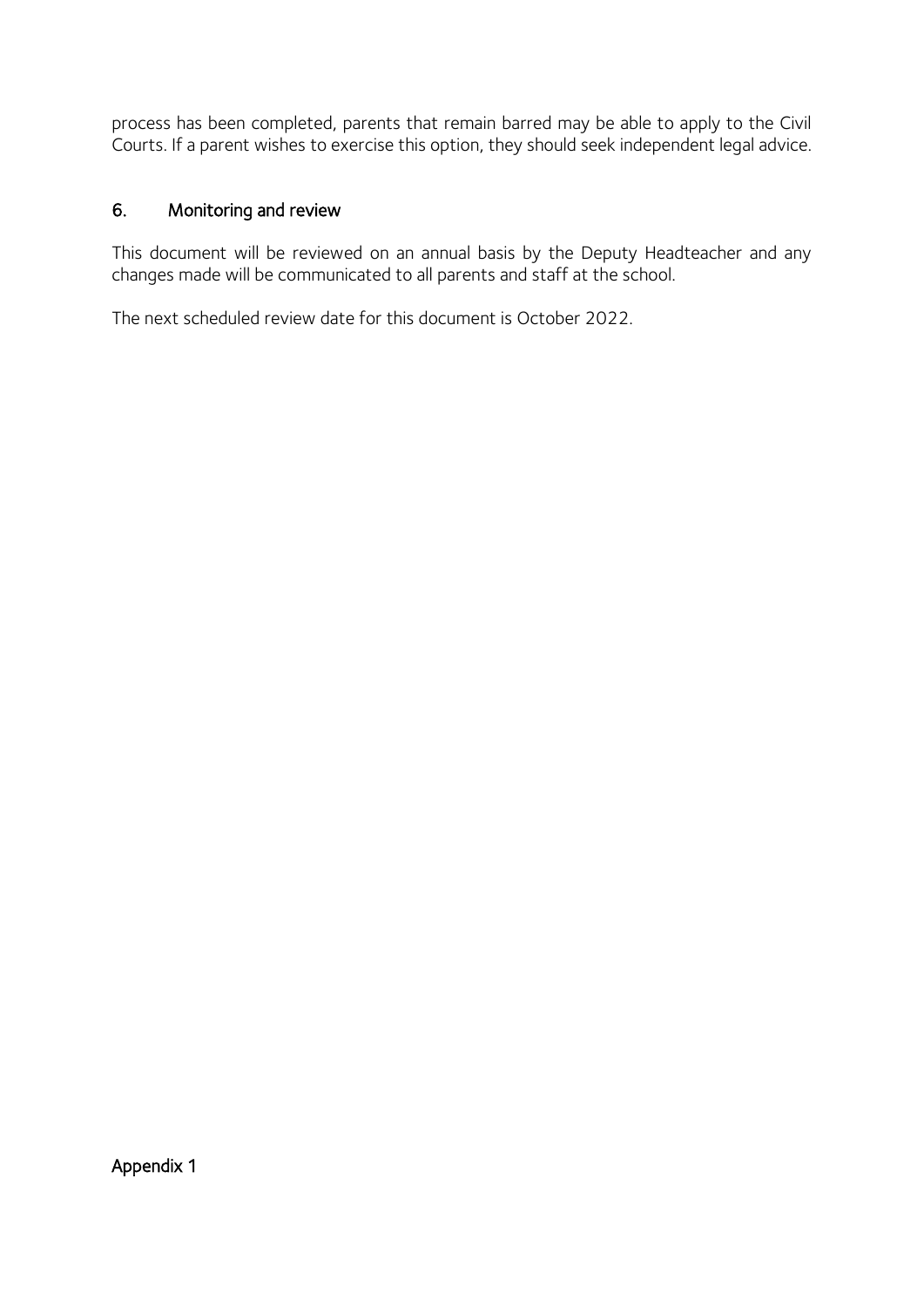process has been completed, parents that remain barred may be able to apply to the Civil Courts. If a parent wishes to exercise this option, they should seek independent legal advice.

#### 6. Monitoring and review

This document will be reviewed on an annual basis by the Deputy Headteacher and any changes made will be communicated to all parents and staff at the school.

The next scheduled review date for this document is October 2022.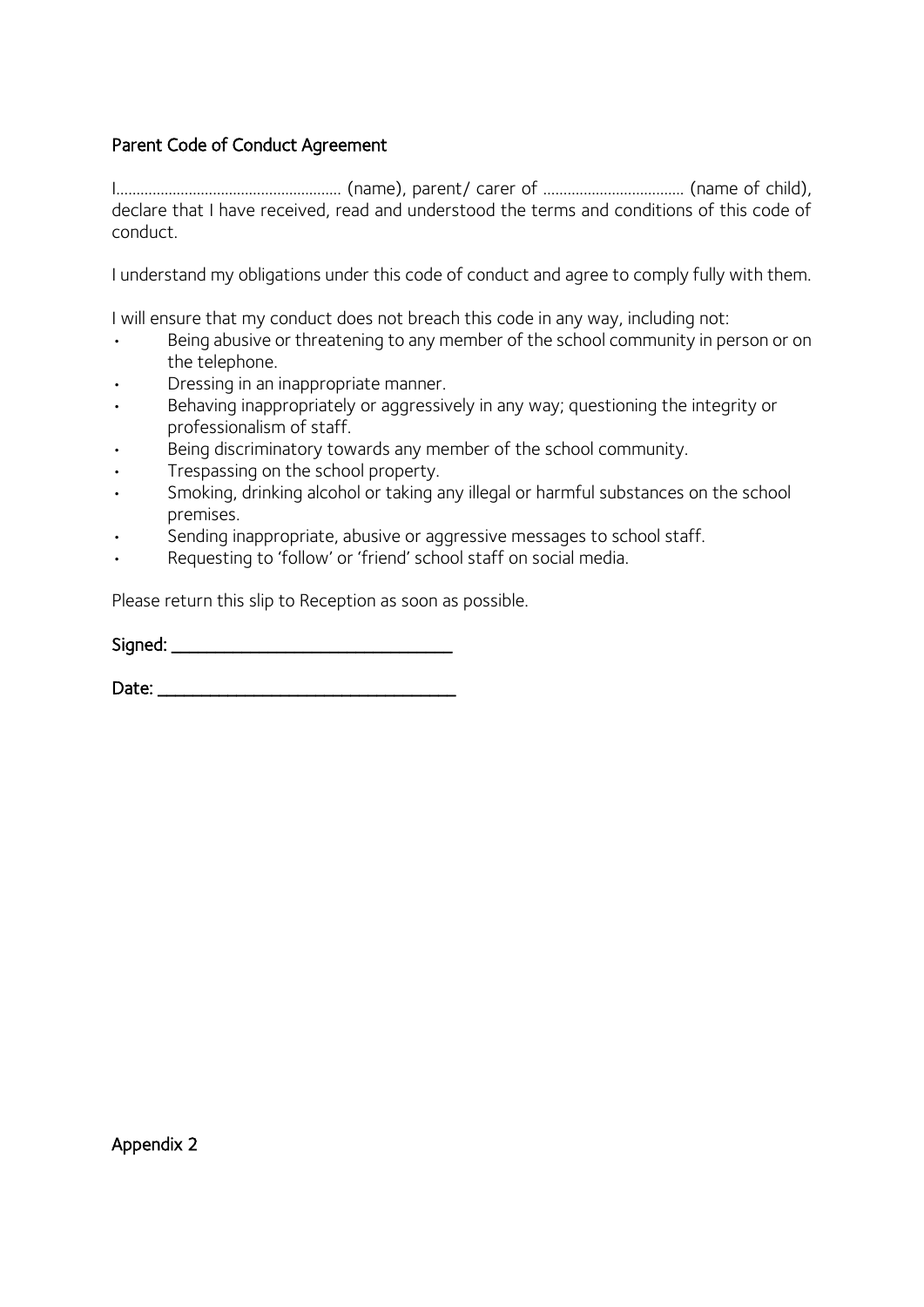### Parent Code of Conduct Agreement

I……………………………………………….. (name), parent/ carer of ……….……………………. (name of child), declare that I have received, read and understood the terms and conditions of this code of conduct.

I understand my obligations under this code of conduct and agree to comply fully with them.

I will ensure that my conduct does not breach this code in any way, including not:

- Being abusive or threatening to any member of the school community in person or on the telephone.
- Dressing in an inappropriate manner.
- Behaving inappropriately or aggressively in any way; questioning the integrity or professionalism of staff.
- Being discriminatory towards any member of the school community.
- Trespassing on the school property.
- Smoking, drinking alcohol or taking any illegal or harmful substances on the school premises.
- Sending inappropriate, abusive or aggressive messages to school staff.
- Requesting to 'follow' or 'friend' school staff on social media.

Please return this slip to Reception as soon as possible.

| Signed: |
|---------|
|---------|

Date: \_\_\_\_\_\_\_\_\_\_\_\_\_\_\_\_\_\_\_\_\_\_\_\_\_\_\_\_\_\_\_\_\_\_